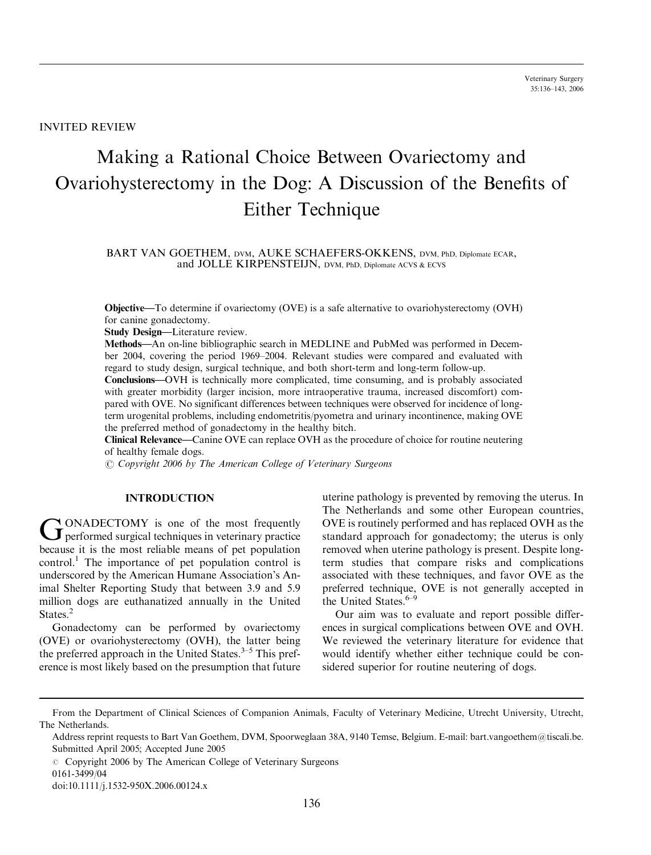INVITED REVIEW

# Making a Rational Choice Between Ovariectomy and Ovariohysterectomy in the Dog: A Discussion of the Benefits of Either Technique

## BART VAN GOETHEM, DVM, AUKE SCHAEFERS-OKKENS, DVM, PhD, Diplomate ECAR, and JOLLE KIRPENSTEIJN, DVM, PhD, Diplomate ACVS & ECVS

Objective—To determine if ovariectomy (OVE) is a safe alternative to ovariohysterectomy (OVH) for canine gonadectomy.

Study Design—Literature review.

Methods—An on-line bibliographic search in MEDLINE and PubMed was performed in December 2004, covering the period 1969–2004. Relevant studies were compared and evaluated with regard to study design, surgical technique, and both short-term and long-term follow-up.

Conclusions—OVH is technically more complicated, time consuming, and is probably associated with greater morbidity (larger incision, more intraoperative trauma, increased discomfort) compared with OVE. No significant differences between techniques were observed for incidence of longterm urogenital problems, including endometritis/pyometra and urinary incontinence, making OVE the preferred method of gonadectomy in the healthy bitch.

Clinical Relevance—Canine OVE can replace OVH as the procedure of choice for routine neutering of healthy female dogs.

© Copyright 2006 by The American College of Veterinary Surgeons

## INTRODUCTION

GONADECTOMY is one of the most frequently<br>performed surgical techniques in veterinary practice because it is the most reliable means of pet population control.<sup>1</sup> The importance of pet population control is underscored by the American Humane Association's Animal Shelter Reporting Study that between 3.9 and 5.9 million dogs are euthanatized annually in the United States.<sup>2</sup>

Gonadectomy can be performed by ovariectomy (OVE) or ovariohysterectomy (OVH), the latter being the preferred approach in the United States. $3-5$  This preference is most likely based on the presumption that future

uterine pathology is prevented by removing the uterus. In The Netherlands and some other European countries, OVE is routinely performed and has replaced OVH as the standard approach for gonadectomy; the uterus is only removed when uterine pathology is present. Despite longterm studies that compare risks and complications associated with these techniques, and favor OVE as the preferred technique, OVE is not generally accepted in the United States.<sup>6-9</sup>

Our aim was to evaluate and report possible differences in surgical complications between OVE and OVH. We reviewed the veterinary literature for evidence that would identify whether either technique could be considered superior for routine neutering of dogs.

 $\degree$  Copyright 2006 by The American College of Veterinary Surgeons

0161-3499/04

doi:10.1111/j.1532-950X.2006.00124.x

From the Department of Clinical Sciences of Companion Animals, Faculty of Veterinary Medicine, Utrecht University, Utrecht, The Netherlands.

Address reprint requests to Bart Van Goethem, DVM, Spoorweglaan 38A, 9140 Temse, Belgium. E-mail: bart.vangoethem@tiscali.be. Submitted April 2005; Accepted June 2005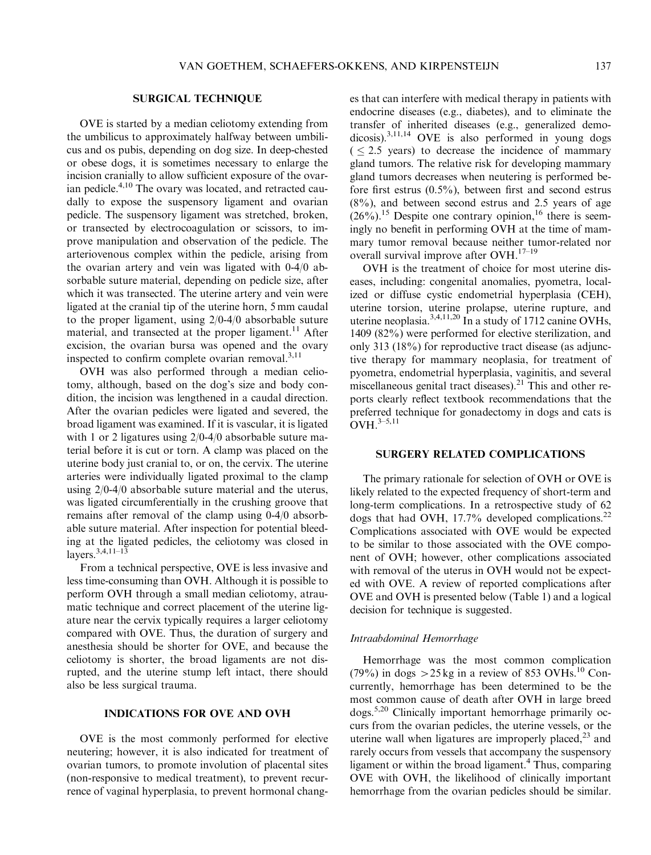## SURGICAL TECHNIQUE

OVE is started by a median celiotomy extending from the umbilicus to approximately halfway between umbilicus and os pubis, depending on dog size. In deep-chested or obese dogs, it is sometimes necessary to enlarge the incision cranially to allow sufficient exposure of the ovar- $\frac{4,10}{2}$  The ovary was located, and retracted caudally to expose the suspensory ligament and ovarian pedicle. The suspensory ligament was stretched, broken, or transected by electrocoagulation or scissors, to improve manipulation and observation of the pedicle. The arteriovenous complex within the pedicle, arising from the ovarian artery and vein was ligated with 0-4/0 absorbable suture material, depending on pedicle size, after which it was transected. The uterine artery and vein were ligated at the cranial tip of the uterine horn, 5 mm caudal to the proper ligament, using 2/0-4/0 absorbable suture material, and transected at the proper ligament.<sup>11</sup> After excision, the ovarian bursa was opened and the ovary inspected to confirm complete ovarian removal.<sup>3,11</sup>

OVH was also performed through a median celiotomy, although, based on the dog's size and body condition, the incision was lengthened in a caudal direction. After the ovarian pedicles were ligated and severed, the broad ligament was examined. If it is vascular, it is ligated with 1 or 2 ligatures using  $2/0-4/0$  absorbable suture material before it is cut or torn. A clamp was placed on the uterine body just cranial to, or on, the cervix. The uterine arteries were individually ligated proximal to the clamp using 2/0-4/0 absorbable suture material and the uterus, was ligated circumferentially in the crushing groove that remains after removal of the clamp using 0-4/0 absorbable suture material. After inspection for potential bleeding at the ligated pedicles, the celiotomy was closed in layers.<sup>3,4,11–13</sup>

From a technical perspective, OVE is less invasive and less time-consuming than OVH. Although it is possible to perform OVH through a small median celiotomy, atraumatic technique and correct placement of the uterine ligature near the cervix typically requires a larger celiotomy compared with OVE. Thus, the duration of surgery and anesthesia should be shorter for OVE, and because the celiotomy is shorter, the broad ligaments are not disrupted, and the uterine stump left intact, there should also be less surgical trauma.

## INDICATIONS FOR OVE AND OVH

OVE is the most commonly performed for elective neutering; however, it is also indicated for treatment of ovarian tumors, to promote involution of placental sites (non-responsive to medical treatment), to prevent recurrence of vaginal hyperplasia, to prevent hormonal changes that can interfere with medical therapy in patients with endocrine diseases (e.g., diabetes), and to eliminate the transfer of inherited diseases (e.g., generalized demodicosis). $3,11,14$  OVE is also performed in young dogs  $(< 2.5$  years) to decrease the incidence of mammary gland tumors. The relative risk for developing mammary gland tumors decreases when neutering is performed before first estrus (0.5%), between first and second estrus  $(8\%)$ , and between second estrus and 2.5 years of age  $(26\%)$ <sup>15</sup> Despite one contrary opinion.<sup>16</sup> there is seemingly no benefit in performing OVH at the time of mammary tumor removal because neither tumor-related nor overall survival improve after  $OVM$ .<sup>17–19</sup>

OVH is the treatment of choice for most uterine diseases, including: congenital anomalies, pyometra, localized or diffuse cystic endometrial hyperplasia (CEH), uterine torsion, uterine prolapse, uterine rupture, and uterine neoplasia.<sup>3,4,11,20</sup> In a study of 1712 canine OVHs, 1409 (82%) were performed for elective sterilization, and only 313 (18%) for reproductive tract disease (as adjunctive therapy for mammary neoplasia, for treatment of pyometra, endometrial hyperplasia, vaginitis, and several miscellaneous genital tract diseases).<sup>21</sup> This and other reports clearly reflect textbook recommendations that the preferred technique for gonadectomy in dogs and cats is OVH.3–5,11

## SURGERY RELATED COMPLICATIONS

The primary rationale for selection of OVH or OVE is likely related to the expected frequency of short-term and long-term complications. In a retrospective study of 62 dogs that had OVH, 17.7% developed complications.<sup>22</sup> Complications associated with OVE would be expected to be similar to those associated with the OVE component of OVH; however, other complications associated with removal of the uterus in OVH would not be expected with OVE. A review of reported complications after OVE and OVH is presented below (Table 1) and a logical decision for technique is suggested.

### Intraabdominal Hemorrhage

Hemorrhage was the most common complication (79%) in dogs  $>$  25 kg in a review of 853 OVHs.<sup>10</sup> Concurrently, hemorrhage has been determined to be the most common cause of death after OVH in large breed dogs.5,20 Clinically important hemorrhage primarily occurs from the ovarian pedicles, the uterine vessels, or the uterine wall when ligatures are improperly placed, $^{23}$  and rarely occurs from vessels that accompany the suspensory ligament or within the broad ligament.<sup>4</sup> Thus, comparing OVE with OVH, the likelihood of clinically important hemorrhage from the ovarian pedicles should be similar.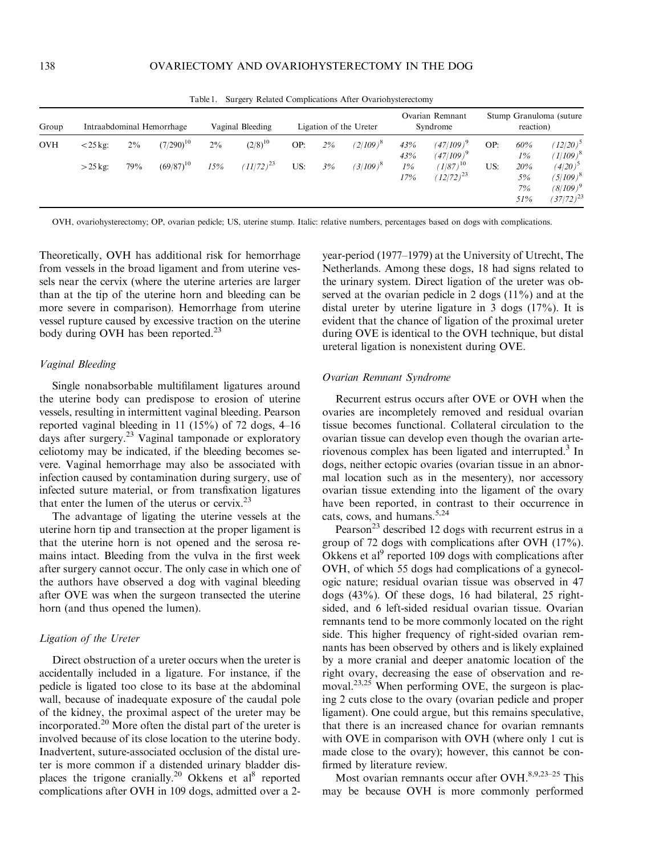| Group      | Intraabdominal Hemorrhage |              |                                  | Vaginal Bleeding |                                | Ligation of the Ureter |          |                            | Ovarian Remnant<br>Syndrome |                                                                 | Stump Granuloma (suture)<br>reaction) |                                 |                                                                          |
|------------|---------------------------|--------------|----------------------------------|------------------|--------------------------------|------------------------|----------|----------------------------|-----------------------------|-----------------------------------------------------------------|---------------------------------------|---------------------------------|--------------------------------------------------------------------------|
| <b>OVH</b> | $<$ 25 kg:<br>$>$ 25 kg:  | $2\%$<br>79% | $(7/290)^{10}$<br>$(69/87)^{10}$ | $2\%$<br>15%     | $(2/8)^{10}$<br>$(11/72)^{23}$ | OP:<br>US:             | 2%<br>3% | $(2/109)^8$<br>$(3/109)^8$ | 43%<br>43%<br>$1\%$<br>17%  | $(47/109)^9$<br>$(47/109)^9$<br>$(1/87)^{10}$<br>$(12/72)^{23}$ | OP:<br>US:                            | 60%<br>$1\%$<br>20%<br>5%<br>7% | $(12/20)^5$<br>$(1/109)^{8}$<br>$(4/20)^5$<br>$(5/109)^8$<br>$(8/109)^9$ |
|            |                           |              |                                  |                  |                                |                        |          |                            |                             |                                                                 |                                       | 51%                             | $(37/72)^{23}$                                                           |

Table 1. Surgery Related Complications After Ovariohysterectomy

OVH, ovariohysterectomy; OP, ovarian pedicle; US, uterine stump. Italic: relative numbers, percentages based on dogs with complications.

Theoretically, OVH has additional risk for hemorrhage from vessels in the broad ligament and from uterine vessels near the cervix (where the uterine arteries are larger than at the tip of the uterine horn and bleeding can be more severe in comparison). Hemorrhage from uterine vessel rupture caused by excessive traction on the uterine body during OVH has been reported.<sup>23</sup>

## Vaginal Bleeding

Single nonabsorbable multifilament ligatures around the uterine body can predispose to erosion of uterine vessels, resulting in intermittent vaginal bleeding. Pearson reported vaginal bleeding in 11 (15%) of 72 dogs,  $4\n-16$ days after surgery.23 Vaginal tamponade or exploratory celiotomy may be indicated, if the bleeding becomes severe. Vaginal hemorrhage may also be associated with infection caused by contamination during surgery, use of infected suture material, or from transfixation ligatures that enter the lumen of the uterus or cervix. $2<sup>3</sup>$ 

The advantage of ligating the uterine vessels at the uterine horn tip and transection at the proper ligament is that the uterine horn is not opened and the serosa remains intact. Bleeding from the vulva in the first week after surgery cannot occur. The only case in which one of the authors have observed a dog with vaginal bleeding after OVE was when the surgeon transected the uterine horn (and thus opened the lumen).

## Ligation of the Ureter

Direct obstruction of a ureter occurs when the ureter is accidentally included in a ligature. For instance, if the pedicle is ligated too close to its base at the abdominal wall, because of inadequate exposure of the caudal pole of the kidney, the proximal aspect of the ureter may be incorporated.20 More often the distal part of the ureter is involved because of its close location to the uterine body. Inadvertent, suture-associated occlusion of the distal ureter is more common if a distended urinary bladder displaces the trigone cranially.<sup>20</sup> Okkens et al<sup>8</sup> reported complications after OVH in 109 dogs, admitted over a 2-

year-period (1977–1979) at the University of Utrecht, The Netherlands. Among these dogs, 18 had signs related to the urinary system. Direct ligation of the ureter was observed at the ovarian pedicle in 2 dogs (11%) and at the distal ureter by uterine ligature in 3 dogs (17%). It is evident that the chance of ligation of the proximal ureter during OVE is identical to the OVH technique, but distal ureteral ligation is nonexistent during OVE.

## Ovarian Remnant Syndrome

Recurrent estrus occurs after OVE or OVH when the ovaries are incompletely removed and residual ovarian tissue becomes functional. Collateral circulation to the ovarian tissue can develop even though the ovarian arteriovenous complex has been ligated and interrupted.<sup>3</sup> In dogs, neither ectopic ovaries (ovarian tissue in an abnormal location such as in the mesentery), nor accessory ovarian tissue extending into the ligament of the ovary have been reported, in contrast to their occurrence in cats, cows, and humans.<sup>5,24</sup>

Pearson<sup>23</sup> described 12 dogs with recurrent estrus in a group of 72 dogs with complications after OVH (17%). Okkens et al<sup>9</sup> reported 109 dogs with complications after OVH, of which 55 dogs had complications of a gynecologic nature; residual ovarian tissue was observed in 47 dogs (43%). Of these dogs, 16 had bilateral, 25 rightsided, and 6 left-sided residual ovarian tissue. Ovarian remnants tend to be more commonly located on the right side. This higher frequency of right-sided ovarian remnants has been observed by others and is likely explained by a more cranial and deeper anatomic location of the right ovary, decreasing the ease of observation and removal.<sup>23,25</sup> When performing OVE, the surgeon is placing 2 cuts close to the ovary (ovarian pedicle and proper ligament). One could argue, but this remains speculative, that there is an increased chance for ovarian remnants with OVE in comparison with OVH (where only 1 cut is made close to the ovary); however, this cannot be confirmed by literature review.

Most ovarian remnants occur after  $OVM^{8,9,23-25}$  This may be because OVH is more commonly performed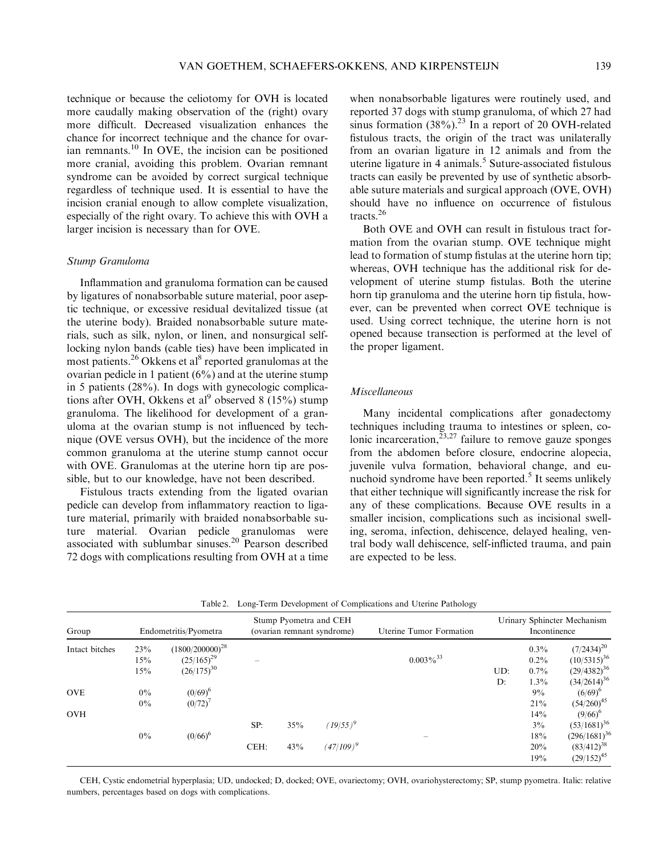technique or because the celiotomy for OVH is located more caudally making observation of the (right) ovary more difficult. Decreased visualization enhances the chance for incorrect technique and the chance for ovarian remnants. $^{10}$  In OVE, the incision can be positioned more cranial, avoiding this problem. Ovarian remnant syndrome can be avoided by correct surgical technique regardless of technique used. It is essential to have the incision cranial enough to allow complete visualization, especially of the right ovary. To achieve this with OVH a larger incision is necessary than for OVE.

#### Stump Granuloma

Inflammation and granuloma formation can be caused by ligatures of nonabsorbable suture material, poor aseptic technique, or excessive residual devitalized tissue (at the uterine body). Braided nonabsorbable suture materials, such as silk, nylon, or linen, and nonsurgical selflocking nylon bands (cable ties) have been implicated in most patients.<sup>26</sup> Okkens et al<sup>8</sup> reported granulomas at the ovarian pedicle in 1 patient  $(6\%)$  and at the uterine stump in 5 patients (28%). In dogs with gynecologic complications after OVH, Okkens et al<sup>9</sup> observed 8 (15%) stump granuloma. The likelihood for development of a granuloma at the ovarian stump is not influenced by technique (OVE versus OVH), but the incidence of the more common granuloma at the uterine stump cannot occur with OVE. Granulomas at the uterine horn tip are possible, but to our knowledge, have not been described.

Fistulous tracts extending from the ligated ovarian pedicle can develop from inflammatory reaction to ligature material, primarily with braided nonabsorbable suture material. Ovarian pedicle granulomas were associated with sublumbar sinuses.<sup>20</sup> Pearson described 72 dogs with complications resulting from OVH at a time when nonabsorbable ligatures were routinely used, and reported 37 dogs with stump granuloma, of which 27 had sinus formation  $(38\%)$ .<sup>23</sup> In a report of 20 OVH-related fistulous tracts, the origin of the tract was unilaterally from an ovarian ligature in 12 animals and from the uterine ligature in 4 animals.<sup>5</sup> Suture-associated fistulous tracts can easily be prevented by use of synthetic absorbable suture materials and surgical approach (OVE, OVH) should have no influence on occurrence of fistulous tracts.26

Both OVE and OVH can result in fistulous tract formation from the ovarian stump. OVE technique might lead to formation of stump fistulas at the uterine horn tip; whereas, OVH technique has the additional risk for development of uterine stump fistulas. Both the uterine horn tip granuloma and the uterine horn tip fistula, however, can be prevented when correct OVE technique is used. Using correct technique, the uterine horn is not opened because transection is performed at the level of the proper ligament.

## Miscellaneous

Many incidental complications after gonadectomy techniques including trauma to intestines or spleen, colonic incarceration, $23,27$  failure to remove gauze sponges from the abdomen before closure, endocrine alopecia, juvenile vulva formation, behavioral change, and eunuchoid syndrome have been reported.<sup>5</sup> It seems unlikely that either technique will significantly increase the risk for any of these complications. Because OVE results in a smaller incision, complications such as incisional swelling, seroma, infection, dehiscence, delayed healing, ventral body wall dehiscence, self-inflicted trauma, and pain are expected to be less.

| Group<br>Intact bitches |                   | Endometritis/Pyometra                                      |             |            | Stump Pyometra and CEH<br>(ovarian remnant syndrome) | Uterine Tumor Formation<br>$0.003\%^{33}$ | Urinary Sphincter Mechanism<br>Incontinence |                                   |                                                                                           |  |
|-------------------------|-------------------|------------------------------------------------------------|-------------|------------|------------------------------------------------------|-------------------------------------------|---------------------------------------------|-----------------------------------|-------------------------------------------------------------------------------------------|--|
|                         | 23%<br>15%<br>15% | $(1800/200000)^{28}$<br>$(25/165)^{29}$<br>$(26/175)^{30}$ |             |            |                                                      |                                           | UD:                                         | $0.3\%$<br>$0.2\%$<br>$0.7\%$     | $(7/2434)^{20}$<br>$(10/5315)^{36}$<br>$(29/4382)^{36}$                                   |  |
| <b>OVE</b>              | $0\%$<br>$0\%$    | $(0/69)^6$<br>$(0/72)^7$                                   |             |            |                                                      |                                           | D:                                          | $1.3\%$<br>9%<br>21%              | $(34/2614)^{36}$<br>$(6/69)^6$<br>$(54/260)^{45}$                                         |  |
| <b>OVH</b>              | $0\%$             | $(0/66)^6$                                                 | SP:<br>CEH: | 35%<br>43% | $(19/55)^9$<br>(47/109) $^9$                         |                                           |                                             | 14%<br>$3\%$<br>18%<br>20%<br>19% | $(9/66)^6$<br>$(53/1681)^{36}$<br>$(296/1681)^{36}$<br>$(83/412)^{38}$<br>$(29/152)^{45}$ |  |

Table 2. Long-Term Development of Complications and Uterine Pathology

CEH, Cystic endometrial hyperplasia; UD, undocked; D, docked; OVE, ovariectomy; OVH, ovariohysterectomy; SP, stump pyometra. Italic: relative numbers, percentages based on dogs with complications.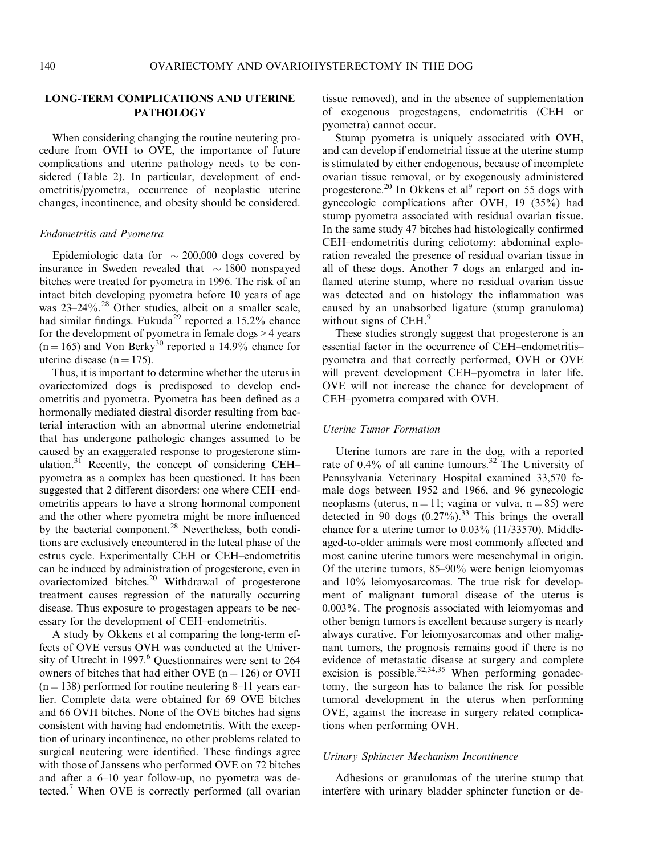## LONG-TERM COMPLICATIONS AND UTERINE **PATHOLOGY**

When considering changing the routine neutering procedure from OVH to OVE, the importance of future complications and uterine pathology needs to be considered (Table 2). In particular, development of endometritis/pyometra, occurrence of neoplastic uterine changes, incontinence, and obesity should be considered.

#### Endometritis and Pyometra

Epidemiologic data for  $\sim 200,000$  dogs covered by insurance in Sweden revealed that  $\sim 1800$  nonspayed bitches were treated for pyometra in 1996. The risk of an intact bitch developing pyometra before 10 years of age was  $23-24\%$ .<sup>28</sup> Other studies, albeit on a smaller scale, had similar findings. Fukuda<sup>29</sup> reported a 15.2% chance for the development of pyometra in female dogs $>4$  years  $(n = 165)$  and Von Berky<sup>30</sup> reported a 14.9% chance for uterine disease ( $n = 175$ ).

Thus, it is important to determine whether the uterus in ovariectomized dogs is predisposed to develop endometritis and pyometra. Pyometra has been defined as a hormonally mediated diestral disorder resulting from bacterial interaction with an abnormal uterine endometrial that has undergone pathologic changes assumed to be caused by an exaggerated response to progesterone stimulation.<sup>31</sup> Recently, the concept of considering CEH– pyometra as a complex has been questioned. It has been suggested that 2 different disorders: one where CEH–endometritis appears to have a strong hormonal component and the other where pyometra might be more influenced by the bacterial component.<sup>28</sup> Nevertheless, both conditions are exclusively encountered in the luteal phase of the estrus cycle. Experimentally CEH or CEH–endometritis can be induced by administration of progesterone, even in ovariectomized bitches.20 Withdrawal of progesterone treatment causes regression of the naturally occurring disease. Thus exposure to progestagen appears to be necessary for the development of CEH–endometritis.

A study by Okkens et al comparing the long-term effects of OVE versus OVH was conducted at the University of Utrecht in 1997.<sup>6</sup> Questionnaires were sent to 264 owners of bitches that had either OVE ( $n = 126$ ) or OVH  $(n = 138)$  performed for routine neutering 8–11 years earlier. Complete data were obtained for 69 OVE bitches and 66 OVH bitches. None of the OVE bitches had signs consistent with having had endometritis. With the exception of urinary incontinence, no other problems related to surgical neutering were identified. These findings agree with those of Janssens who performed OVE on 72 bitches and after a 6–10 year follow-up, no pyometra was detected.7 When OVE is correctly performed (all ovarian

tissue removed), and in the absence of supplementation of exogenous progestagens, endometritis (CEH or pyometra) cannot occur.

Stump pyometra is uniquely associated with OVH, and can develop if endometrial tissue at the uterine stump is stimulated by either endogenous, because of incomplete ovarian tissue removal, or by exogenously administered progesterone.<sup>20</sup> In Okkens et al<sup>9</sup> report on 55 dogs with gynecologic complications after OVH, 19 (35%) had stump pyometra associated with residual ovarian tissue. In the same study 47 bitches had histologically confirmed CEH–endometritis during celiotomy; abdominal exploration revealed the presence of residual ovarian tissue in all of these dogs. Another 7 dogs an enlarged and inflamed uterine stump, where no residual ovarian tissue was detected and on histology the inflammation was caused by an unabsorbed ligature (stump granuloma) without signs of  $\mathrm{CEH}$ .

These studies strongly suggest that progesterone is an essential factor in the occurrence of CEH–endometritis– pyometra and that correctly performed, OVH or OVE will prevent development CEH–pyometra in later life. OVE will not increase the chance for development of CEH–pyometra compared with OVH.

## Uterine Tumor Formation

Uterine tumors are rare in the dog, with a reported rate of  $0.4\%$  of all canine tumours.<sup>32</sup> The University of Pennsylvania Veterinary Hospital examined 33,570 female dogs between 1952 and 1966, and 96 gynecologic neoplasms (uterus,  $n = 11$ ; vagina or vulva,  $n = 85$ ) were detected in 90 dogs  $(0.27\%)$ .<sup>33</sup> This brings the overall chance for a uterine tumor to 0.03% (11/33570). Middleaged-to-older animals were most commonly affected and most canine uterine tumors were mesenchymal in origin. Of the uterine tumors, 85–90% were benign leiomyomas and 10% leiomyosarcomas. The true risk for development of malignant tumoral disease of the uterus is 0.003%. The prognosis associated with leiomyomas and other benign tumors is excellent because surgery is nearly always curative. For leiomyosarcomas and other malignant tumors, the prognosis remains good if there is no evidence of metastatic disease at surgery and complete excision is possible. $32,34,35$  When performing gonadectomy, the surgeon has to balance the risk for possible tumoral development in the uterus when performing OVE, against the increase in surgery related complications when performing OVH.

## Urinary Sphincter Mechanism Incontinence

Adhesions or granulomas of the uterine stump that interfere with urinary bladder sphincter function or de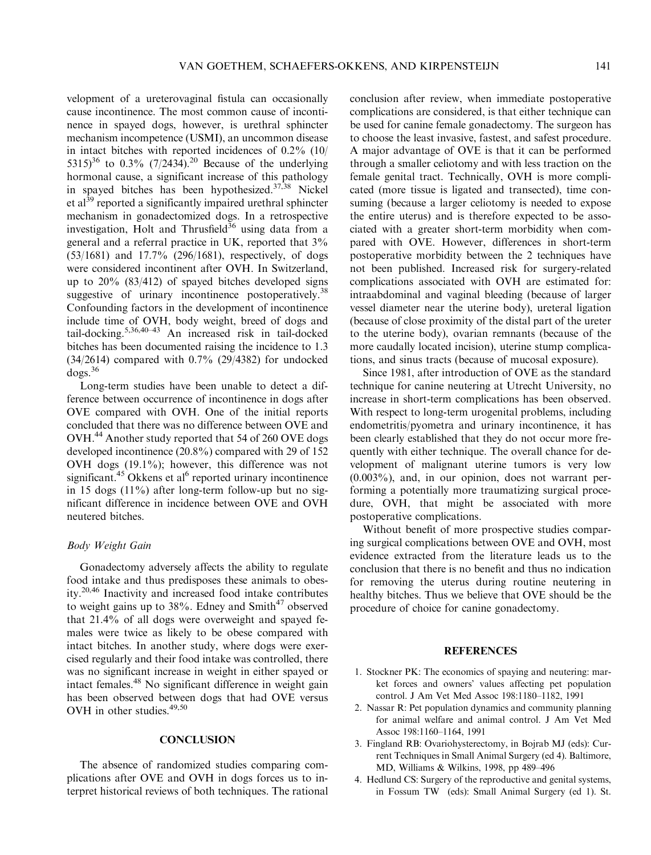velopment of a ureterovaginal fistula can occasionally cause incontinence. The most common cause of incontinence in spayed dogs, however, is urethral sphincter mechanism incompetence (USMI), an uncommon disease in intact bitches with reported incidences of 0.2% (10/ 5315)<sup>36</sup> to 0.3% (7/2434).<sup>20</sup> Because of the underlying hormonal cause, a significant increase of this pathology in spayed bitches has been hypothesized.37,38 Nickel et al<sup>39</sup> reported a significantly impaired urethral sphincter mechanism in gonadectomized dogs. In a retrospective investigation, Holt and Thrusfield<sup>36</sup> using data from a general and a referral practice in UK, reported that 3% (53/1681) and 17.7% (296/1681), respectively, of dogs were considered incontinent after OVH. In Switzerland, up to 20% (83/412) of spayed bitches developed signs suggestive of urinary incontinence postoperatively.<sup>38</sup> Confounding factors in the development of incontinence include time of OVH, body weight, breed of dogs and tail-docking.5,36,40–43 An increased risk in tail-docked bitches has been documented raising the incidence to 1.3 (34/2614) compared with 0.7% (29/4382) for undocked dogs.36

Long-term studies have been unable to detect a difference between occurrence of incontinence in dogs after OVE compared with OVH. One of the initial reports concluded that there was no difference between OVE and OVH.44 Another study reported that 54 of 260 OVE dogs developed incontinence (20.8%) compared with 29 of 152 OVH dogs (19.1%); however, this difference was not significant.<sup>45</sup> Okkens et al<sup>6</sup> reported urinary incontinence in 15 dogs  $(11\%)$  after long-term follow-up but no significant difference in incidence between OVE and OVH neutered bitches.

## Body Weight Gain

Gonadectomy adversely affects the ability to regulate food intake and thus predisposes these animals to obesity.20,46 Inactivity and increased food intake contributes to weight gains up to  $38\%$ . Edney and Smith<sup>47</sup> observed that 21.4% of all dogs were overweight and spayed females were twice as likely to be obese compared with intact bitches. In another study, where dogs were exercised regularly and their food intake was controlled, there was no significant increase in weight in either spayed or intact females.<sup>48</sup> No significant difference in weight gain has been observed between dogs that had OVE versus OVH in other studies.<sup>49,50</sup>

## **CONCLUSION**

The absence of randomized studies comparing complications after OVE and OVH in dogs forces us to interpret historical reviews of both techniques. The rational conclusion after review, when immediate postoperative complications are considered, is that either technique can be used for canine female gonadectomy. The surgeon has to choose the least invasive, fastest, and safest procedure. A major advantage of OVE is that it can be performed through a smaller celiotomy and with less traction on the female genital tract. Technically, OVH is more complicated (more tissue is ligated and transected), time consuming (because a larger celiotomy is needed to expose the entire uterus) and is therefore expected to be associated with a greater short-term morbidity when compared with OVE. However, differences in short-term postoperative morbidity between the 2 techniques have not been published. Increased risk for surgery-related complications associated with OVH are estimated for: intraabdominal and vaginal bleeding (because of larger vessel diameter near the uterine body), ureteral ligation (because of close proximity of the distal part of the ureter to the uterine body), ovarian remnants (because of the more caudally located incision), uterine stump complications, and sinus tracts (because of mucosal exposure).

Since 1981, after introduction of OVE as the standard technique for canine neutering at Utrecht University, no increase in short-term complications has been observed. With respect to long-term urogenital problems, including endometritis/pyometra and urinary incontinence, it has been clearly established that they do not occur more frequently with either technique. The overall chance for development of malignant uterine tumors is very low (0.003%), and, in our opinion, does not warrant performing a potentially more traumatizing surgical procedure, OVH, that might be associated with more postoperative complications.

Without benefit of more prospective studies comparing surgical complications between OVE and OVH, most evidence extracted from the literature leads us to the conclusion that there is no benefit and thus no indication for removing the uterus during routine neutering in healthy bitches. Thus we believe that OVE should be the procedure of choice for canine gonadectomy.

## **REFERENCES**

- 1. Stockner PK: The economics of spaying and neutering: market forces and owners' values affecting pet population control. J Am Vet Med Assoc 198:1180–1182, 1991
- 2. Nassar R: Pet population dynamics and community planning for animal welfare and animal control. J Am Vet Med Assoc 198:1160–1164, 1991
- 3. Fingland RB: Ovariohysterectomy, in Bojrab MJ (eds): Current Techniques in Small Animal Surgery (ed 4). Baltimore, MD, Williams & Wilkins, 1998, pp 489–496
- 4. Hedlund CS: Surgery of the reproductive and genital systems, in Fossum TW (eds): Small Animal Surgery (ed 1). St.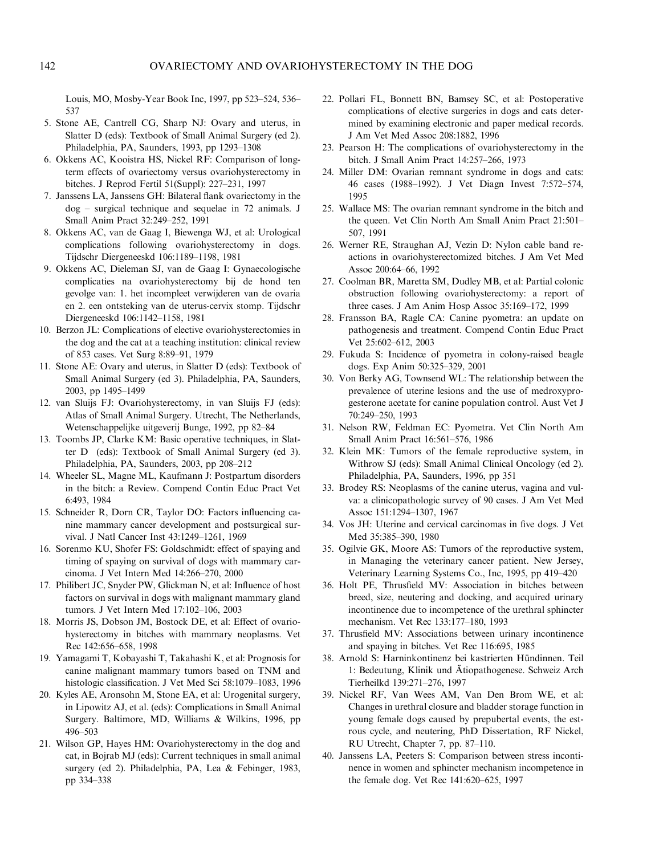Louis, MO, Mosby-Year Book Inc, 1997, pp 523–524, 536– 537

- 5. Stone AE, Cantrell CG, Sharp NJ: Ovary and uterus, in Slatter D (eds): Textbook of Small Animal Surgery (ed 2). Philadelphia, PA, Saunders, 1993, pp 1293–1308
- 6. Okkens AC, Kooistra HS, Nickel RF: Comparison of longterm effects of ovariectomy versus ovariohysterectomy in bitches. J Reprod Fertil 51(Suppl): 227–231, 1997
- 7. Janssens LA, Janssens GH: Bilateral flank ovariectomy in the dog – surgical technique and sequelae in 72 animals. J Small Anim Pract 32:249–252, 1991
- 8. Okkens AC, van de Gaag I, Biewenga WJ, et al: Urological complications following ovariohysterectomy in dogs. Tijdschr Diergeneeskd 106:1189–1198, 1981
- 9. Okkens AC, Dieleman SJ, van de Gaag I: Gynaecologische complicaties na ovariohysterectomy bij de hond ten gevolge van: 1. het incompleet verwijderen van de ovaria en 2. een ontsteking van de uterus-cervix stomp. Tijdschr Diergeneeskd 106:1142–1158, 1981
- 10. Berzon JL: Complications of elective ovariohysterectomies in the dog and the cat at a teaching institution: clinical review of 853 cases. Vet Surg 8:89–91, 1979
- 11. Stone AE: Ovary and uterus, in Slatter D (eds): Textbook of Small Animal Surgery (ed 3). Philadelphia, PA, Saunders, 2003, pp 1495–1499
- 12. van Sluijs FJ: Ovariohysterectomy, in van Sluijs FJ (eds): Atlas of Small Animal Surgery. Utrecht, The Netherlands, Wetenschappelijke uitgeverij Bunge, 1992, pp 82–84
- 13. Toombs JP, Clarke KM: Basic operative techniques, in Slatter D (eds): Textbook of Small Animal Surgery (ed 3). Philadelphia, PA, Saunders, 2003, pp 208–212
- 14. Wheeler SL, Magne ML, Kaufmann J: Postpartum disorders in the bitch: a Review. Compend Contin Educ Pract Vet 6:493, 1984
- 15. Schneider R, Dorn CR, Taylor DO: Factors influencing canine mammary cancer development and postsurgical survival. J Natl Cancer Inst 43:1249–1261, 1969
- 16. Sorenmo KU, Shofer FS: Goldschmidt: effect of spaying and timing of spaying on survival of dogs with mammary carcinoma. J Vet Intern Med 14:266–270, 2000
- 17. Philibert JC, Snyder PW, Glickman N, et al: Influence of host factors on survival in dogs with malignant mammary gland tumors. J Vet Intern Med 17:102–106, 2003
- 18. Morris JS, Dobson JM, Bostock DE, et al: Effect of ovariohysterectomy in bitches with mammary neoplasms. Vet Rec 142:656–658, 1998
- 19. Yamagami T, Kobayashi T, Takahashi K, et al: Prognosis for canine malignant mammary tumors based on TNM and histologic classification. J Vet Med Sci 58:1079–1083, 1996
- 20. Kyles AE, Aronsohn M, Stone EA, et al: Urogenital surgery, in Lipowitz AJ, et al. (eds): Complications in Small Animal Surgery. Baltimore, MD, Williams & Wilkins, 1996, pp 496–503
- 21. Wilson GP, Hayes HM: Ovariohysterectomy in the dog and cat, in Bojrab MJ (eds): Current techniques in small animal surgery (ed 2). Philadelphia, PA, Lea & Febinger, 1983, pp 334–338
- 22. Pollari FL, Bonnett BN, Bamsey SC, et al: Postoperative complications of elective surgeries in dogs and cats determined by examining electronic and paper medical records. J Am Vet Med Assoc 208:1882, 1996
- 23. Pearson H: The complications of ovariohysterectomy in the bitch. J Small Anim Pract 14:257–266, 1973
- 24. Miller DM: Ovarian remnant syndrome in dogs and cats: 46 cases (1988–1992). J Vet Diagn Invest 7:572–574, 1995
- 25. Wallace MS: The ovarian remnant syndrome in the bitch and the queen. Vet Clin North Am Small Anim Pract 21:501– 507, 1991
- 26. Werner RE, Straughan AJ, Vezin D: Nylon cable band reactions in ovariohysterectomized bitches. J Am Vet Med Assoc 200:64–66, 1992
- 27. Coolman BR, Maretta SM, Dudley MB, et al: Partial colonic obstruction following ovariohysterectomy: a report of three cases. J Am Anim Hosp Assoc 35:169–172, 1999
- 28. Fransson BA, Ragle CA: Canine pyometra: an update on pathogenesis and treatment. Compend Contin Educ Pract Vet 25:602–612, 2003
- 29. Fukuda S: Incidence of pyometra in colony-raised beagle dogs. Exp Anim 50:325–329, 2001
- 30. Von Berky AG, Townsend WL: The relationship between the prevalence of uterine lesions and the use of medroxyprogesterone acetate for canine population control. Aust Vet J 70:249–250, 1993
- 31. Nelson RW, Feldman EC: Pyometra. Vet Clin North Am Small Anim Pract 16:561–576, 1986
- 32. Klein MK: Tumors of the female reproductive system, in Withrow SJ (eds): Small Animal Clinical Oncology (ed 2). Philadelphia, PA, Saunders, 1996, pp 351
- 33. Brodey RS: Neoplasms of the canine uterus, vagina and vulva: a clinicopathologic survey of 90 cases. J Am Vet Med Assoc 151:1294–1307, 1967
- 34. Vos JH: Uterine and cervical carcinomas in five dogs. J Vet Med 35:385–390, 1980
- 35. Ogilvie GK, Moore AS: Tumors of the reproductive system, in Managing the veterinary cancer patient. New Jersey, Veterinary Learning Systems Co., Inc, 1995, pp 419–420
- 36. Holt PE, Thrusfield MV: Association in bitches between breed, size, neutering and docking, and acquired urinary incontinence due to incompetence of the urethral sphincter mechanism. Vet Rec 133:177–180, 1993
- 37. Thrusfield MV: Associations between urinary incontinence and spaying in bitches. Vet Rec 116:695, 1985
- 38. Arnold S: Harninkontinenz bei kastrierten Hündinnen. Teil 1: Bedeutung, Klinik und Ätiopathogenese. Schweiz Arch Tierheilkd 139:271–276, 1997
- 39. Nickel RF, Van Wees AM, Van Den Brom WE, et al: Changes in urethral closure and bladder storage function in young female dogs caused by prepubertal events, the estrous cycle, and neutering, PhD Dissertation, RF Nickel, RU Utrecht, Chapter 7, pp. 87–110.
- 40. Janssens LA, Peeters S: Comparison between stress incontinence in women and sphincter mechanism incompetence in the female dog. Vet Rec 141:620–625, 1997